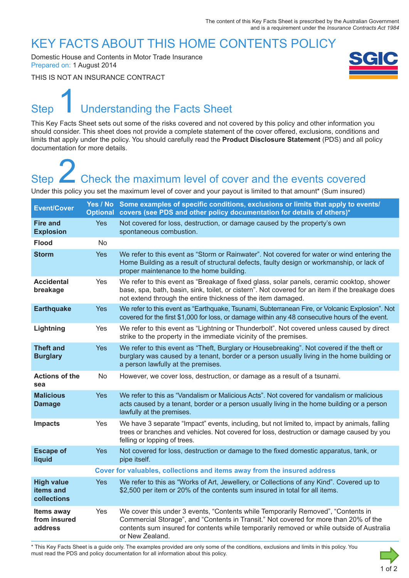### KEY FACTS ABOUT THIS HOME CONTENTS POLICY

Domestic House and Contents in Motor Trade Insurance Prepared on: 1 August 2014

THIS IS NOT AN INSURANCE CONTRACT

# Step Understanding the Facts Sheet 1

This Key Facts Sheet sets out some of the risks covered and not covered by this policy and other information you should consider. This sheet does not provide a complete statement of the cover offered, exclusions, conditions and limits that apply under the policy. You should carefully read the **Product Disclosure Statement** (PDS) and all policy documentation for more details.

# Step **Check the maximum level of cover and the events covered** Step<br>
2 Check the maximum level of cover and the events covered<br>
Under this policy you set the maximum level of cover and your payout is limited to that amount\* (Sum insured)

| <b>Event/Cover</b>                            |            | Yes / No Some examples of specific conditions, exclusions or limits that apply to events/<br>Optional covers (see PDS and other policy documentation for details of others)*                                                                                                             |  |
|-----------------------------------------------|------------|------------------------------------------------------------------------------------------------------------------------------------------------------------------------------------------------------------------------------------------------------------------------------------------|--|
| <b>Fire and</b><br><b>Explosion</b>           | <b>Yes</b> | Not covered for loss, destruction, or damage caused by the property's own<br>spontaneous combustion.                                                                                                                                                                                     |  |
| <b>Flood</b>                                  | No         |                                                                                                                                                                                                                                                                                          |  |
| <b>Storm</b>                                  | <b>Yes</b> | We refer to this event as "Storm or Rainwater". Not covered for water or wind entering the<br>Home Building as a result of structural defects, faulty design or workmanship, or lack of<br>proper maintenance to the home building.                                                      |  |
| <b>Accidental</b><br>breakage                 | Yes        | We refer to this event as "Breakage of fixed glass, solar panels, ceramic cooktop, shower<br>base, spa, bath, basin, sink, toilet, or cistern". Not covered for an item if the breakage does<br>not extend through the entire thickness of the item damaged.                             |  |
| <b>Earthquake</b>                             | <b>Yes</b> | We refer to this event as "Earthquake, Tsunami, Subterranean Fire, or Volcanic Explosion". Not<br>covered for the first \$1,000 for loss, or damage within any 48 consecutive hours of the event.                                                                                        |  |
| Lightning                                     | Yes        | We refer to this event as "Lightning or Thunderbolt". Not covered unless caused by direct<br>strike to the property in the immediate vicinity of the premises.                                                                                                                           |  |
| <b>Theft and</b><br><b>Burglary</b>           | <b>Yes</b> | We refer to this event as "Theft, Burglary or Housebreaking". Not covered if the theft or<br>burglary was caused by a tenant, border or a person usually living in the home building or<br>a person lawfully at the premises.                                                            |  |
| <b>Actions of the</b><br>sea                  | No         | However, we cover loss, destruction, or damage as a result of a tsunami.                                                                                                                                                                                                                 |  |
| <b>Malicious</b><br><b>Damage</b>             | <b>Yes</b> | We refer to this as "Vandalism or Malicious Acts". Not covered for vandalism or malicious<br>acts caused by a tenant, border or a person usually living in the home building or a person<br>lawfully at the premises.                                                                    |  |
| <b>Impacts</b>                                | Yes        | We have 3 separate "Impact" events, including, but not limited to, impact by animals, falling<br>trees or branches and vehicles. Not covered for loss, destruction or damage caused by you<br>felling or lopping of trees.                                                               |  |
| <b>Escape of</b><br>liquid                    | <b>Yes</b> | Not covered for loss, destruction or damage to the fixed domestic apparatus, tank, or<br>pipe itself.                                                                                                                                                                                    |  |
|                                               |            | Cover for valuables, collections and items away from the insured address                                                                                                                                                                                                                 |  |
| <b>High value</b><br>items and<br>collections | <b>Yes</b> | We refer to this as "Works of Art, Jewellery, or Collections of any Kind". Covered up to<br>\$2,500 per item or 20% of the contents sum insured in total for all items.                                                                                                                  |  |
| Items away<br>from insured<br>address         | Yes        | We cover this under 3 events, "Contents while Temporarily Removed", "Contents in<br>Commercial Storage", and "Contents in Transit." Not covered for more than 20% of the<br>contents sum insured for contents while temporarily removed or while outside of Australia<br>or New Zealand. |  |

\* This Key Facts Sheet is a guide only. The examples provided are only some of the conditions, exclusions and limits in this policy. You must read the PDS and policy documentation for all information about this policy.